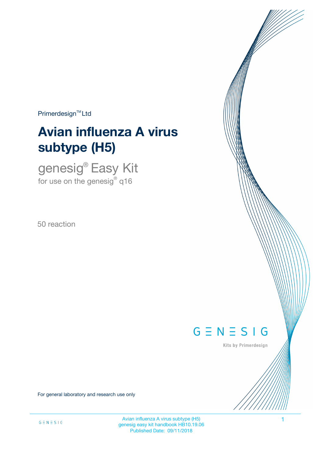$Primerdesign<sup>™</sup>Ltd$ 

# **Avian influenza A virus subtype (H5)**

genesig® Easy Kit for use on the genesig $^\circ$  q16

50 reaction



Kits by Primerdesign

For general laboratory and research use only

Avian influenza A virus subtype (H5) 1 genesig easy kit handbook HB10.19.06 Published Date: 09/11/2018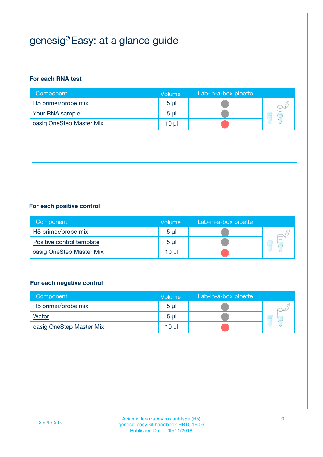## genesig® Easy: at a glance guide

#### **For each RNA test**

| Component                | <b>Volume</b>  | Lab-in-a-box pipette |  |
|--------------------------|----------------|----------------------|--|
| H5 primer/probe mix      | 5 <sub>µ</sub> |                      |  |
| Your RNA sample          | 5 <sub>µ</sub> |                      |  |
| oasig OneStep Master Mix | 10 µl          |                      |  |

#### **For each positive control**

| Component                 | Volume         | Lab-in-a-box pipette |  |
|---------------------------|----------------|----------------------|--|
| H5 primer/probe mix       | 5 <sub>µ</sub> |                      |  |
| Positive control template | 5 <sub>µ</sub> |                      |  |
| oasig OneStep Master Mix  | 10 µl          |                      |  |

#### **For each negative control**

| Component                | Volume         | Lab-in-a-box pipette |   |
|--------------------------|----------------|----------------------|---|
| H5 primer/probe mix      | 5 <sub>µ</sub> |                      |   |
| <b>Water</b>             | 5 <sub>µ</sub> |                      | - |
| oasig OneStep Master Mix | 10 µl          |                      |   |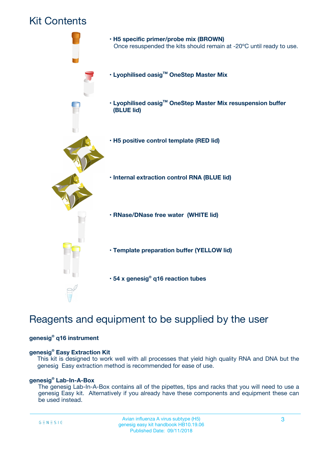### Kit Contents



### Reagents and equipment to be supplied by the user

#### **genesig® q16 instrument**

#### **genesig® Easy Extraction Kit**

This kit is designed to work well with all processes that yield high quality RNA and DNA but the genesig Easy extraction method is recommended for ease of use.

#### **genesig® Lab-In-A-Box**

The genesig Lab-In-A-Box contains all of the pipettes, tips and racks that you will need to use a genesig Easy kit. Alternatively if you already have these components and equipment these can be used instead.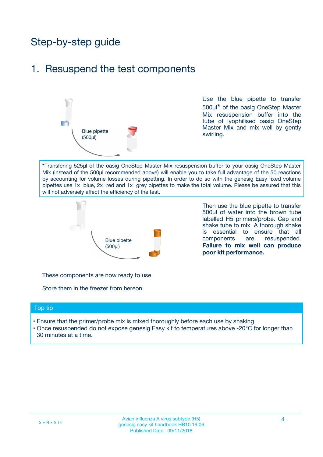## Step-by-step guide

### 1. Resuspend the test components



Use the blue pipette to transfer 500µ**l\*** of the oasig OneStep Master Mix resuspension buffer into the tube of lyophilised oasig OneStep Master Mix and mix well by gently swirling.

**\***Transfering 525µl of the oasig OneStep Master Mix resuspension buffer to your oasig OneStep Master Mix (instead of the 500µl recommended above) will enable you to take full advantage of the 50 reactions by accounting for volume losses during pipetting. In order to do so with the genesig Easy fixed volume pipettes use 1x blue, 2x red and 1x grey pipettes to make the total volume. Please be assured that this will not adversely affect the efficiency of the test.



Then use the blue pipette to transfer 500µl of water into the brown tube labelled H5 primers/probe. Cap and shake tube to mix. A thorough shake is essential to ensure that all components are resuspended. **Failure to mix well can produce poor kit performance.**

These components are now ready to use.

Store them in the freezer from hereon.

#### Top tip

- Ensure that the primer/probe mix is mixed thoroughly before each use by shaking.
- Once resuspended do not expose genesig Easy kit to temperatures above -20°C for longer than 30 minutes at a time.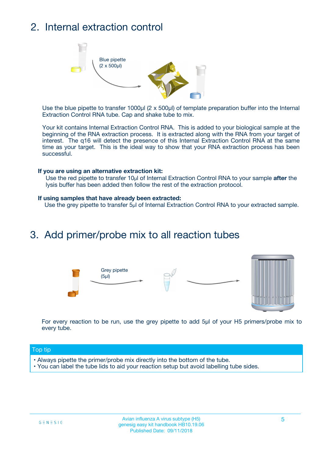## 2. Internal extraction control



Use the blue pipette to transfer 1000µl (2 x 500µl) of template preparation buffer into the Internal Extraction Control RNA tube. Cap and shake tube to mix.

Your kit contains Internal Extraction Control RNA. This is added to your biological sample at the beginning of the RNA extraction process. It is extracted along with the RNA from your target of interest. The q16 will detect the presence of this Internal Extraction Control RNA at the same time as your target. This is the ideal way to show that your RNA extraction process has been successful.

#### **If you are using an alternative extraction kit:**

Use the red pipette to transfer 10µl of Internal Extraction Control RNA to your sample **after** the lysis buffer has been added then follow the rest of the extraction protocol.

#### **If using samples that have already been extracted:**

Use the grey pipette to transfer 5µl of Internal Extraction Control RNA to your extracted sample.

### 3. Add primer/probe mix to all reaction tubes





For every reaction to be run, use the grey pipette to add 5µl of your H5 primers/probe mix to every tube.

#### Top tip

- Always pipette the primer/probe mix directly into the bottom of the tube.
- You can label the tube lids to aid your reaction setup but avoid labelling tube sides.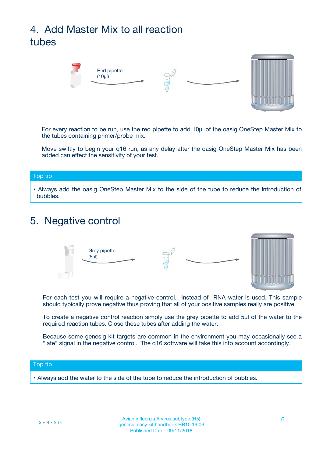## 4. Add Master Mix to all reaction tubes



For every reaction to be run, use the red pipette to add 10µl of the oasig OneStep Master Mix to the tubes containing primer/probe mix.

Move swiftly to begin your q16 run, as any delay after the oasig OneStep Master Mix has been added can effect the sensitivity of your test.

#### Top tip

**•** Always add the oasig OneStep Master Mix to the side of the tube to reduce the introduction of bubbles.

### 5. Negative control



For each test you will require a negative control. Instead of RNA water is used. This sample should typically prove negative thus proving that all of your positive samples really are positive.

To create a negative control reaction simply use the grey pipette to add 5µl of the water to the required reaction tubes. Close these tubes after adding the water.

Because some genesig kit targets are common in the environment you may occasionally see a "late" signal in the negative control. The q16 software will take this into account accordingly.

#### Top tip

**•** Always add the water to the side of the tube to reduce the introduction of bubbles.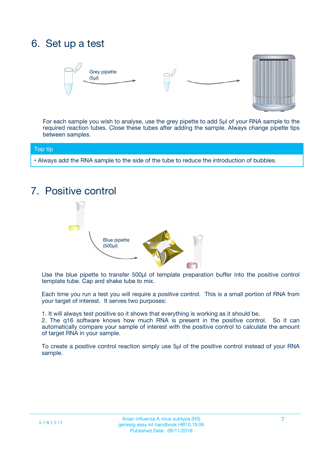## 6. Set up a test





For each sample you wish to analyse, use the grey pipette to add 5µl of your RNA sample to the required reaction tubes. Close these tubes after adding the sample. Always change pipette tips between samples.

#### Top tip

**•** Always add the RNA sample to the side of the tube to reduce the introduction of bubbles.

## 7. Positive control



Use the blue pipette to transfer 500µl of template preparation buffer into the positive control template tube. Cap and shake tube to mix.

Each time you run a test you will require a positive control. This is a small portion of RNA from your target of interest. It serves two purposes:

1. It will always test positive so it shows that everything is working as it should be.

2. The q16 software knows how much RNA is present in the positive control. So it can automatically compare your sample of interest with the positive control to calculate the amount of target RNA in your sample.

To create a positive control reaction simply use 5µl of the positive control instead of your RNA sample.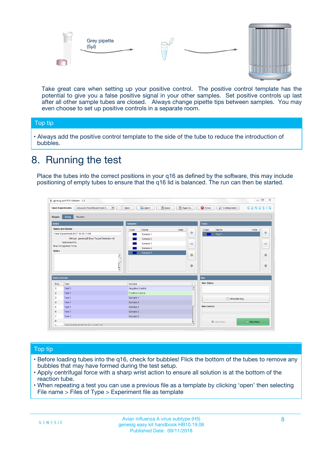



Take great care when setting up your positive control. The positive control template has the potential to give you a false positive signal in your other samples. Set positive controls up last after all other sample tubes are closed. Always change pipette tips between samples. You may even choose to set up positive controls in a separate room.

#### Top tip

**•** Always add the positive control template to the side of the tube to reduce the introduction of bubbles.

### 8. Running the test

Place the tubes into the correct positions in your q16 as defined by the software, this may include positioning of empty tubes to ensure that the q16 lid is balanced. The run can then be started.

|                      | genesig q16 PCR software - 1.2                                                    |                                            |                         |                                 | $= 0$<br>$\Sigma\!3$         |
|----------------------|-----------------------------------------------------------------------------------|--------------------------------------------|-------------------------|---------------------------------|------------------------------|
|                      | Unsaved (New Experiment 2<br>$\overline{\phantom{a}}$<br><b>Open Experiments:</b> | <b>E</b> Open<br><b>Save</b><br>$\Box$ New | Save As                 | <b>C</b> Close<br>Configuration | $G \equiv N \equiv S \mid G$ |
| <b>Stages:</b>       | Setup<br><b>Results</b>                                                           |                                            |                         |                                 |                              |
| <b>Notes</b>         |                                                                                   | <b>Samples</b>                             |                         | <b>Tests</b>                    |                              |
|                      | <b>Name and Details</b>                                                           | Color<br>Name                              | Note                    | Color<br>Name                   | Note                         |
|                      | New Experiment 2017-10-26 11:06                                                   | Sample 1                                   | 4                       | Test 1                          | 4                            |
|                      | Kit type: genesig® Easy Target Detection kit                                      | Sample 2                                   |                         |                                 |                              |
|                      | Instrument Id.:                                                                   | Sample 3                                   | $\equiv$                |                                 | $\equiv$                     |
|                      | <b>Run Completion Time:</b>                                                       | Sample 4                                   |                         |                                 |                              |
| <b>Notes</b>         | $\blacktriangle$                                                                  | Sample 5                                   | ♦                       |                                 | 傦                            |
|                      | $\overline{\mathbf{v}}$                                                           |                                            | ÷                       |                                 | ⊕                            |
| <b>Well Contents</b> |                                                                                   |                                            |                         | Run                             |                              |
| Pos.                 | Test                                                                              | Sample                                     |                         | <b>Run Status</b>               |                              |
| $\blacktriangleleft$ | Test 1                                                                            | Negative Control                           | $\blacktriangle$        |                                 |                              |
| $\overline{2}$       | Test 1                                                                            | Positive Control                           |                         |                                 |                              |
| 3                    | Test 1                                                                            | Sample 1                                   |                         | Show full log                   |                              |
| $\overline{4}$       | Test 1                                                                            | Sample 2                                   |                         |                                 |                              |
| 5                    | Test 1                                                                            | Sample 3                                   |                         | <b>Run Control</b>              |                              |
| 6                    | Test 1                                                                            | Sample 4                                   |                         |                                 |                              |
| $\overline{7}$       | Test 1                                                                            | Sample 5                                   |                         |                                 |                              |
| 8                    |                                                                                   |                                            |                         | Abort Run                       | $\triangleright$ Start Run   |
| Lo.                  | <b>INN FURTY TURE TO BUILDING UP.</b>                                             |                                            | $\overline{\mathbf{v}}$ |                                 |                              |

#### Top tip

- Before loading tubes into the q16, check for bubbles! Flick the bottom of the tubes to remove any bubbles that may have formed during the test setup.
- Apply centrifugal force with a sharp wrist action to ensure all solution is at the bottom of the reaction tube.
- When repeating a test you can use a previous file as a template by clicking 'open' then selecting File name > Files of Type > Experiment file as template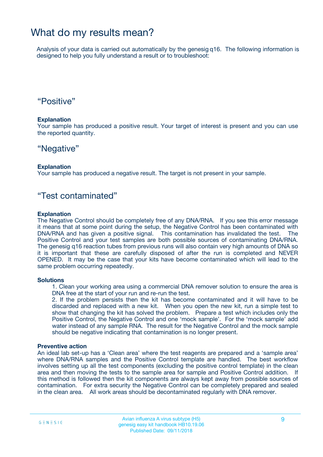### What do my results mean?

Analysis of your data is carried out automatically by the genesig q16. The following information is designed to help you fully understand a result or to troubleshoot:

### "Positive"

#### **Explanation**

Your sample has produced a positive result. Your target of interest is present and you can use the reported quantity.

### "Negative"

#### **Explanation**

Your sample has produced a negative result. The target is not present in your sample.

### "Test contaminated"

#### **Explanation**

The Negative Control should be completely free of any DNA/RNA. If you see this error message it means that at some point during the setup, the Negative Control has been contaminated with DNA/RNA and has given a positive signal. This contamination has invalidated the test. The Positive Control and your test samples are both possible sources of contaminating DNA/RNA. The genesig q16 reaction tubes from previous runs will also contain very high amounts of DNA so it is important that these are carefully disposed of after the run is completed and NEVER OPENED. It may be the case that your kits have become contaminated which will lead to the same problem occurring repeatedly.

#### **Solutions**

1. Clean your working area using a commercial DNA remover solution to ensure the area is DNA free at the start of your run and re-run the test.

2. If the problem persists then the kit has become contaminated and it will have to be discarded and replaced with a new kit. When you open the new kit, run a simple test to show that changing the kit has solved the problem. Prepare a test which includes only the Positive Control, the Negative Control and one 'mock sample'. For the 'mock sample' add water instead of any sample RNA. The result for the Negative Control and the mock sample should be negative indicating that contamination is no longer present.

#### **Preventive action**

An ideal lab set-up has a 'Clean area' where the test reagents are prepared and a 'sample area' where DNA/RNA samples and the Positive Control template are handled. The best workflow involves setting up all the test components (excluding the positive control template) in the clean area and then moving the tests to the sample area for sample and Positive Control addition. If this method is followed then the kit components are always kept away from possible sources of contamination. For extra security the Negative Control can be completely prepared and sealed in the clean area. All work areas should be decontaminated regularly with DNA remover.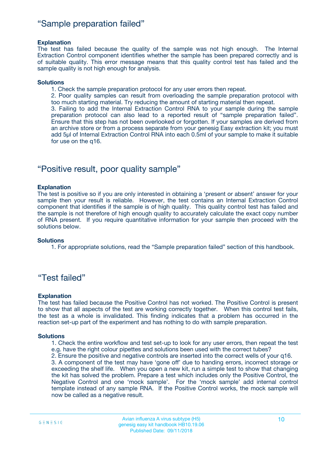### "Sample preparation failed"

#### **Explanation**

The test has failed because the quality of the sample was not high enough. The Internal Extraction Control component identifies whether the sample has been prepared correctly and is of suitable quality. This error message means that this quality control test has failed and the sample quality is not high enough for analysis.

#### **Solutions**

1. Check the sample preparation protocol for any user errors then repeat.

2. Poor quality samples can result from overloading the sample preparation protocol with too much starting material. Try reducing the amount of starting material then repeat.

3. Failing to add the Internal Extraction Control RNA to your sample during the sample preparation protocol can also lead to a reported result of "sample preparation failed". Ensure that this step has not been overlooked or forgotten. If your samples are derived from an archive store or from a process separate from your genesig Easy extraction kit; you must add 5µl of Internal Extraction Control RNA into each 0.5ml of your sample to make it suitable for use on the q16.

### "Positive result, poor quality sample"

#### **Explanation**

The test is positive so if you are only interested in obtaining a 'present or absent' answer for your sample then your result is reliable. However, the test contains an Internal Extraction Control component that identifies if the sample is of high quality. This quality control test has failed and the sample is not therefore of high enough quality to accurately calculate the exact copy number of RNA present. If you require quantitative information for your sample then proceed with the solutions below.

#### **Solutions**

1. For appropriate solutions, read the "Sample preparation failed" section of this handbook.

### "Test failed"

#### **Explanation**

The test has failed because the Positive Control has not worked. The Positive Control is present to show that all aspects of the test are working correctly together. When this control test fails, the test as a whole is invalidated. This finding indicates that a problem has occurred in the reaction set-up part of the experiment and has nothing to do with sample preparation.

#### **Solutions**

1. Check the entire workflow and test set-up to look for any user errors, then repeat the test e.g. have the right colour pipettes and solutions been used with the correct tubes?

2. Ensure the positive and negative controls are inserted into the correct wells of your q16.

3. A component of the test may have 'gone off' due to handing errors, incorrect storage or exceeding the shelf life. When you open a new kit, run a simple test to show that changing the kit has solved the problem. Prepare a test which includes only the Positive Control, the Negative Control and one 'mock sample'. For the 'mock sample' add internal control template instead of any sample RNA. If the Positive Control works, the mock sample will now be called as a negative result.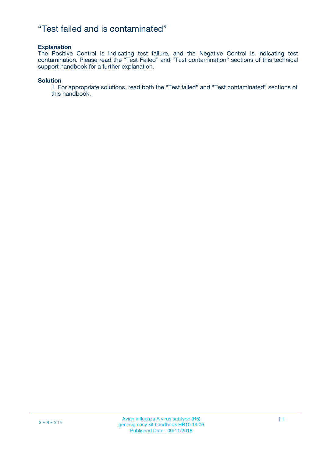### "Test failed and is contaminated"

#### **Explanation**

The Positive Control is indicating test failure, and the Negative Control is indicating test contamination. Please read the "Test Failed" and "Test contamination" sections of this technical support handbook for a further explanation.

#### **Solution**

1. For appropriate solutions, read both the "Test failed" and "Test contaminated" sections of this handbook.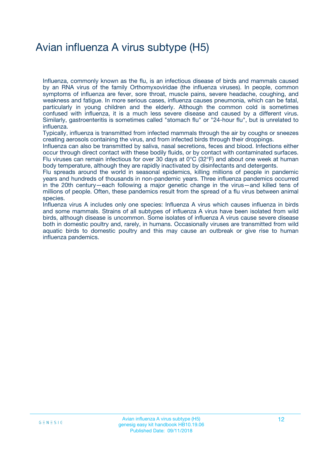## Avian influenza A virus subtype (H5)

Influenza, commonly known as the flu, is an infectious disease of birds and mammals caused by an RNA virus of the family Orthomyxoviridae (the influenza viruses). In people, common symptoms of influenza are fever, sore throat, muscle pains, severe headache, coughing, and weakness and fatigue. In more serious cases, influenza causes pneumonia, which can be fatal, particularly in young children and the elderly. Although the common cold is sometimes confused with influenza, it is a much less severe disease and caused by a different virus. Similarly, gastroenteritis is sometimes called "stomach flu" or "24-hour flu", but is unrelated to influenza.

Typically, influenza is transmitted from infected mammals through the air by coughs or sneezes creating aerosols containing the virus, and from infected birds through their droppings.

Influenza can also be transmitted by saliva, nasal secretions, feces and blood. Infections either occur through direct contact with these bodily fluids, or by contact with contaminated surfaces. Flu viruses can remain infectious for over 30 days at 0°C (32°F) and about one week at human body temperature, although they are rapidly inactivated by disinfectants and detergents.

Flu spreads around the world in seasonal epidemics, killing millions of people in pandemic years and hundreds of thousands in non-pandemic years. Three influenza pandemics occurred in the 20th century—each following a major genetic change in the virus—and killed tens of millions of people. Often, these pandemics result from the spread of a flu virus between animal species.

Influenza virus A includes only one species: Influenza A virus which causes influenza in birds and some mammals. Strains of all subtypes of influenza A virus have been isolated from wild birds, although disease is uncommon. Some isolates of influenza A virus cause severe disease both in domestic poultry and, rarely, in humans. Occasionally viruses are transmitted from wild aquatic birds to domestic poultry and this may cause an outbreak or give rise to human influenza pandemics.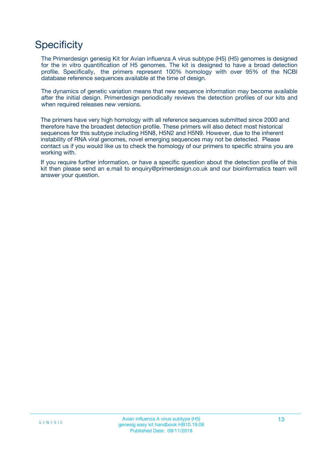## **Specificity**

The Primerdesign genesig Kit for Avian influenza A virus subtype (H5) (H5) genomes is designed for the in vitro quantification of H5 genomes. The kit is designed to have a broad detection profile. Specifically, the primers represent 100% homology with over 95% of the NCBI database reference sequences available at the time of design.

The dynamics of genetic variation means that new sequence information may become available after the initial design. Primerdesign periodically reviews the detection profiles of our kits and when required releases new versions.

The primers have very high homology with all reference sequences submitted since 2000 and therefore have the broadest detection profile. These primers will also detect most historical sequences for this subtype including H5N8, H5N2 and H5N9. However, due to the inherent instability of RNA viral genomes, novel emerging sequences may not be detected. Please contact us if you would like us to check the homology of our primers to specific strains you are working with.

If you require further information, or have a specific question about the detection profile of this kit then please send an e.mail to enquiry@primerdesign.co.uk and our bioinformatics team will answer your question.